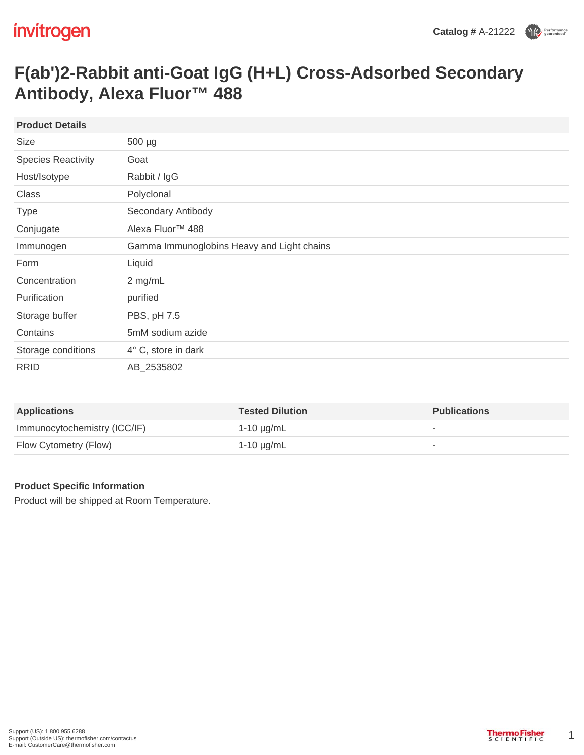## **F(ab')2-Rabbit anti-Goat IgG (H+L) Cross-Adsorbed Secondary Antibody, Alexa Fluor™ 488**

| <b>Product Details</b>    |                                            |
|---------------------------|--------------------------------------------|
| <b>Size</b>               | 500 µg                                     |
| <b>Species Reactivity</b> | Goat                                       |
| Host/Isotype              | Rabbit / IgG                               |
| Class                     | Polyclonal                                 |
| <b>Type</b>               | Secondary Antibody                         |
| Conjugate                 | Alexa Fluor <sup>™</sup> 488               |
| Immunogen                 | Gamma Immunoglobins Heavy and Light chains |
| Form                      | Liquid                                     |
| Concentration             | 2 mg/mL                                    |
| Purification              | purified                                   |
| Storage buffer            | PBS, pH 7.5                                |
| Contains                  | 5mM sodium azide                           |
| Storage conditions        | 4° C, store in dark                        |
| <b>RRID</b>               | AB_2535802                                 |
|                           |                                            |

| <b>Applications</b>          | <b>Tested Dilution</b> | <b>Publications</b>      |
|------------------------------|------------------------|--------------------------|
| Immunocytochemistry (ICC/IF) | 1-10 µg/mL             | $\overline{\phantom{a}}$ |
| Flow Cytometry (Flow)        | 1-10 μg/mL             | $\overline{\phantom{a}}$ |

## **Product Specific Information**

Product will be shipped at Room Temperature.

1